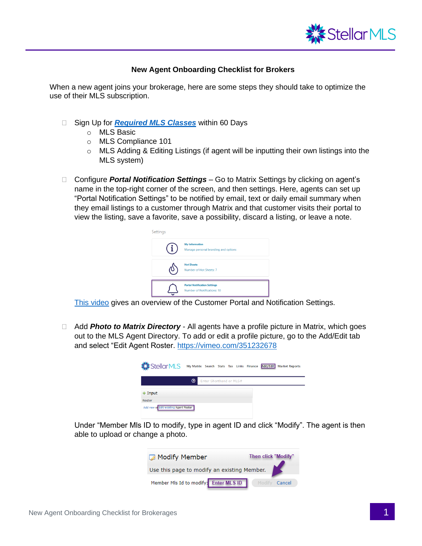

## **New Agent Onboarding Checklist for Brokers**

When a new agent joins your brokerage, here are some steps they should take to optimize the use of their MLS subscription.

- □ Sign Up for **[Required MLS Classes](https://learn.stellarmls.com/course/index.php?categoryid=2&lang=en_us)** within 60 Days
	- o MLS Basic
	- o MLS Compliance 101
	- o MLS Adding & Editing Listings (if agent will be inputting their own listings into the MLS system)
- □ Configure *Portal Notification Settings* Go to Matrix Settings by clicking on agent's name in the top-right corner of the screen, and then settings. Here, agents can set up "Portal Notification Settings" to be notified by email, text or daily email summary when they email listings to a customer through Matrix and that customer visits their portal to view the listing, save a favorite, save a possibility, discard a listing, or leave a note.

| Settings |                                                                    |
|----------|--------------------------------------------------------------------|
|          | <b>My Information</b><br>Manage personal branding and options      |
|          | <b>Hot Sheets</b><br>Number of Hot Sheets: 7                       |
|          | <b>Portal Notification Settings</b><br>Number of Notifications: 10 |

[This video](https://vimeo.com/464321493) gives an overview of the Customer Portal and Notification Settings.

 Add *Photo to Matrix Directory* - All agents have a profile picture in Matrix, which goes out to the MLS Agent Directory. To add or edit a profile picture, go to the Add/Edit tab and select "Edit Agent Roster. <https://vimeo.com/351232678>

| <b>《StellarMLS</b>                    |   |                         |  |  | My Matrix Search Stats Tax Links Finance Add/Edit Market Reports |
|---------------------------------------|---|-------------------------|--|--|------------------------------------------------------------------|
|                                       | ℗ | Enter Shorthand or MLS# |  |  |                                                                  |
| $+$ Input                             |   |                         |  |  |                                                                  |
| Roster                                |   |                         |  |  |                                                                  |
| Add new of Edit existing Agent Roster |   |                         |  |  |                                                                  |

Under "Member Mls ID to modify, type in agent ID and click "Modify". The agent is then able to upload or change a photo.

| Modify Member                               | <b>Then click "Modify"</b> |  |  |  |  |  |
|---------------------------------------------|----------------------------|--|--|--|--|--|
| Use this page to modify an existing Member. |                            |  |  |  |  |  |
| Member MIs Id to modify: Enter MLS ID       | Modify Cancel              |  |  |  |  |  |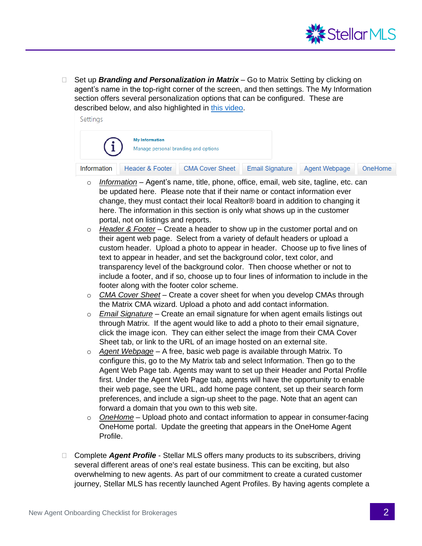

□ Set up *Branding and Personalization in Matrix* – Go to Matrix Setting by clicking on agent's name in the top-right corner of the screen, and then settings. The My Information section offers several personalization options that can be configured. These are described below, and also highlighted in [this video.](https://vimeo.com/464321206)

Settings



- o *Information* Agent's name, title, phone, office, email, web site, tagline, etc. can be updated here. Please note that if their name or contact information ever change, they must contact their local Realtor® board in addition to changing it here. The information in this section is only what shows up in the customer portal, not on listings and reports.
- o *Header & Footer* Create a header to show up in the customer portal and on their agent web page. Select from a variety of default headers or upload a custom header. Upload a photo to appear in header. Choose up to five lines of text to appear in header, and set the background color, text color, and transparency level of the background color. Then choose whether or not to include a footer, and if so, choose up to four lines of information to include in the footer along with the footer color scheme.
- o *CMA Cover Sheet* Create a cover sheet for when you develop CMAs through the Matrix CMA wizard. Upload a photo and add contact information.
- o *Email Signature* Create an email signature for when agent emails listings out through Matrix. If the agent would like to add a photo to their email signature, click the image icon. They can either select the image from their CMA Cover Sheet tab, or link to the URL of an image hosted on an external site.
- o *Agent Webpage* A free, basic web page is available through Matrix. To configure this, go to the My Matrix tab and select Information. Then go to the Agent Web Page tab. Agents may want to set up their Header and Portal Profile first. Under the Agent Web Page tab, agents will have the opportunity to enable their web page, see the URL, add home page content, set up their search form preferences, and include a sign-up sheet to the page. Note that an agent can forward a domain that you own to this web site.
- o *OneHome* Upload photo and contact information to appear in consumer-facing OneHome portal. Update the greeting that appears in the OneHome Agent Profile.
- □ Complete *Agent Profile* Stellar MLS offers many products to its subscribers, driving several different areas of one's real estate business. This can be exciting, but also overwhelming to new agents. As part of our commitment to create a curated customer journey, Stellar MLS has recently launched Agent Profiles. By having agents complete a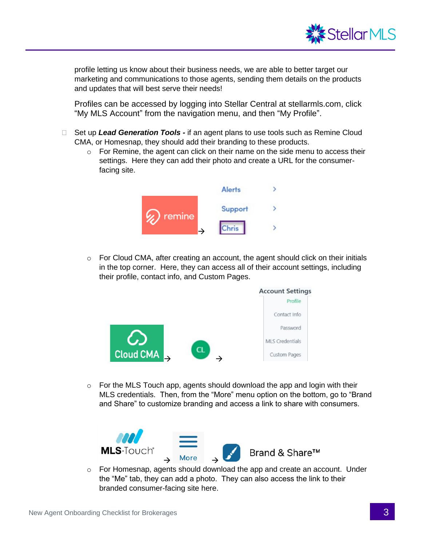

profile letting us know about their business needs, we are able to better target our marketing and communications to those agents, sending them details on the products and updates that will best serve their needs!

Profiles can be accessed by logging into Stellar Central at stellarmls.com, click "My MLS Account" from the navigation menu, and then "My Profile".

- □ Set up Lead Generation Tools if an agent plans to use tools such as Remine Cloud CMA, or Homesnap, they should add their branding to these products.
	- o For Remine, the agent can click on their name on the side menu to access their settings. Here they can add their photo and create a URL for the consumerfacing site.



 $\circ$  For Cloud CMA, after creating an account, the agent should click on their initials in the top corner. Here, they can access all of their account settings, including their profile, contact info, and Custom Pages.



 $\circ$  For the MLS Touch app, agents should download the app and login with their MLS credentials. Then, from the "More" menu option on the bottom, go to "Brand and Share" to customize branding and access a link to share with consumers.



 $\circ$  For Homesnap, agents should download the app and create an account. Under the "Me" tab, they can add a photo. They can also access the link to their branded consumer-facing site here.